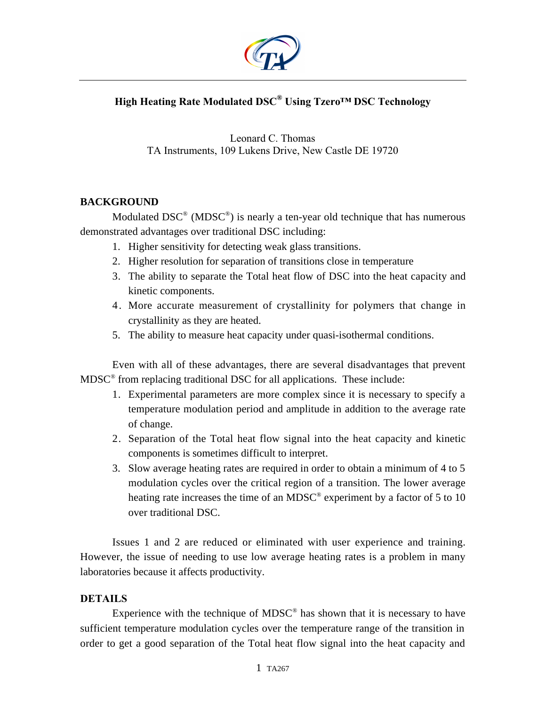

## **High Heating Rate Modulated DSC® Using Tzero™ DSC Technology**

Leonard C. Thomas TA Instruments, 109 Lukens Drive, New Castle DE 19720

## **BACKGROUND**

Modulated  $DSC^{\circledast}$  (MDSC<sup>®</sup>) is nearly a ten-year old technique that has numerous demonstrated advantages over traditional DSC including:

- 1. Higher sensitivity for detecting weak glass transitions.
- 2. Higher resolution for separation of transitions close in temperature
- 3. The ability to separate the Total heat flow of DSC into the heat capacity and kinetic components.
- 4. More accurate measurement of crystallinity for polymers that change in crystallinity as they are heated.
- 5. The ability to measure heat capacity under quasi-isothermal conditions.

Even with all of these advantages, there are several disadvantages that prevent  $MDSC^{\circ}$  from replacing traditional DSC for all applications. These include:

- 1. Experimental parameters are more complex since it is necessary to specify a temperature modulation period and amplitude in addition to the average rate of change.
- 2. Separation of the Total heat flow signal into the heat capacity and kinetic components is sometimes difficult to interpret.
- 3. Slow average heating rates are required in order to obtain a minimum of 4 to 5 modulation cycles over the critical region of a transition. The lower average heating rate increases the time of an MDSC® experiment by a factor of 5 to 10 over traditional DSC.

Issues 1 and 2 are reduced or eliminated with user experience and training. However, the issue of needing to use low average heating rates is a problem in many laboratories because it affects productivity.

## **DETAILS**

Experience with the technique of  $MDSC^{\circledast}$  has shown that it is necessary to have sufficient temperature modulation cycles over the temperature range of the transition in order to get a good separation of the Total heat flow signal into the heat capacity and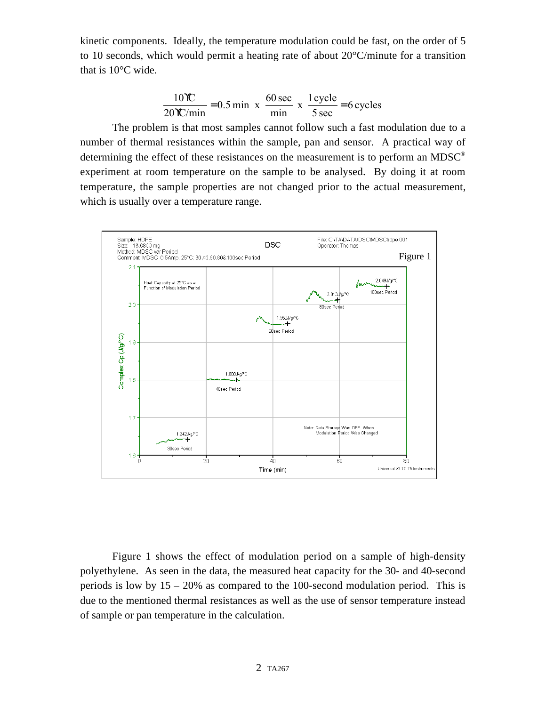kinetic components. Ideally, the temperature modulation could be fast, on the order of 5 to 10 seconds, which would permit a heating rate of about 20°C/minute for a transition that is 10°C wide.

$$
\frac{10\text{TC}}{20\text{TC/min}} = 0.5 \text{ min} \times \frac{60 \text{ sec}}{\text{min}} \times \frac{1 \text{ cycle}}{5 \text{ sec}} = 6 \text{ cycles}
$$

The problem is that most samples cannot follow such a fast modulation due to a number of thermal resistances within the sample, pan and sensor. A practical way of determining the effect of these resistances on the measurement is to perform an MDSC® experiment at room temperature on the sample to be analysed. By doing it at room temperature, the sample properties are not changed prior to the actual measurement, which is usually over a temperature range.



Figure 1 shows the effect of modulation period on a sample of high-density polyethylene. As seen in the data, the measured heat capacity for the 30- and 40-second periods is low by  $15 - 20\%$  as compared to the 100-second modulation period. This is due to the mentioned thermal resistances as well as the use of sensor temperature instead of sample or pan temperature in the calculation.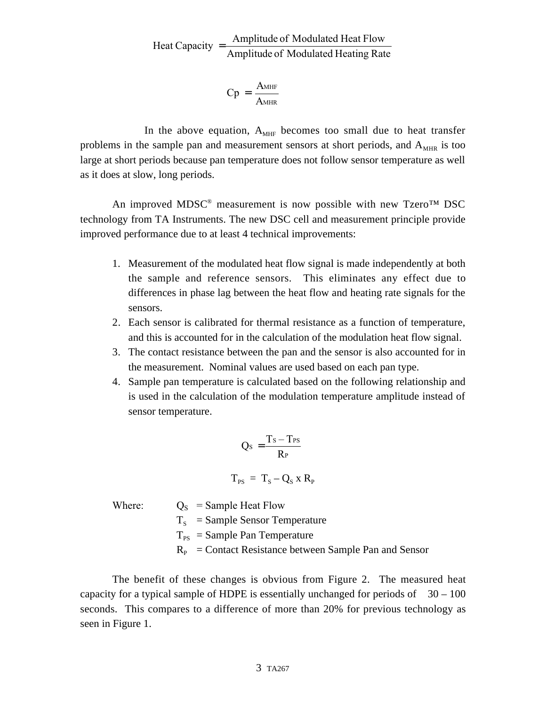Amplitude of Modulated Heating Rate Heat Capacity  $=$  Amplitude of Modulated Heat Flow

$$
Cp = \frac{A_{MHF}}{A_{MHF}}
$$

In the above equation,  $A_{MHF}$  becomes too small due to heat transfer problems in the sample pan and measurement sensors at short periods, and  $A_{MHR}$  is too large at short periods because pan temperature does not follow sensor temperature as well as it does at slow, long periods.

An improved MDSC<sup>®</sup> measurement is now possible with new Tzero<sup>TM</sup> DSC technology from TA Instruments. The new DSC cell and measurement principle provide improved performance due to at least 4 technical improvements:

- 1. Measurement of the modulated heat flow signal is made independently at both the sample and reference sensors. This eliminates any effect due to differences in phase lag between the heat flow and heating rate signals for the sensors.
- 2. Each sensor is calibrated for thermal resistance as a function of temperature, and this is accounted for in the calculation of the modulation heat flow signal.
- 3. The contact resistance between the pan and the sensor is also accounted for in the measurement. Nominal values are used based on each pan type.
- 4. Sample pan temperature is calculated based on the following relationship and is used in the calculation of the modulation temperature amplitude instead of sensor temperature.

$$
Q_s = \frac{T_s - T_{PS}}{R_P}
$$

$$
T_{PS} = T_s - Q_s x R_p
$$

| Where: | $Q_{\rm S}$ = Sample Heat Flow                                 |
|--------|----------------------------------------------------------------|
|        | $T_s$ = Sample Sensor Temperature                              |
|        | $T_{\text{PS}}$ = Sample Pan Temperature                       |
|        | $R_{\rm p}$ = Contact Resistance between Sample Pan and Sensor |

The benefit of these changes is obvious from Figure 2. The measured heat capacity for a typical sample of HDPE is essentially unchanged for periods of  $30 - 100$ seconds. This compares to a difference of more than 20% for previous technology as seen in Figure 1.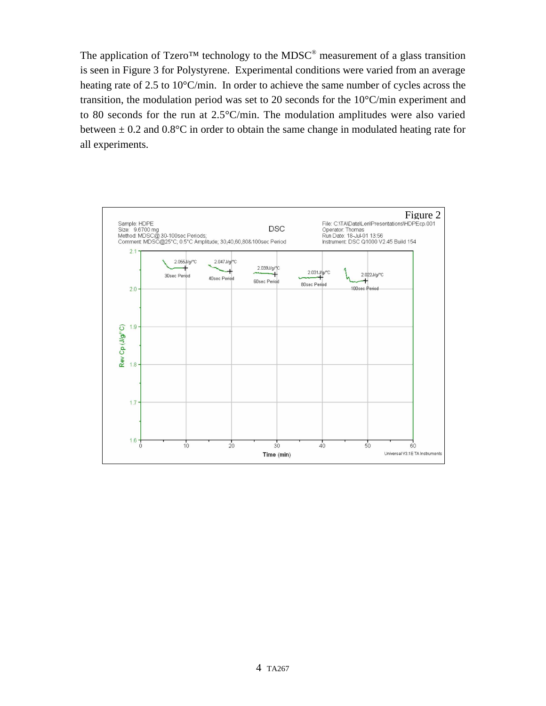The application of Tzero<sup>TM</sup> technology to the MDSC<sup>®</sup> measurement of a glass transition is seen in Figure 3 for Polystyrene. Experimental conditions were varied from an average heating rate of 2.5 to 10°C/min. In order to achieve the same number of cycles across the transition, the modulation period was set to 20 seconds for the 10°C/min experiment and to 80 seconds for the run at 2.5°C/min. The modulation amplitudes were also varied between  $\pm$  0.2 and 0.8°C in order to obtain the same change in modulated heating rate for all experiments.